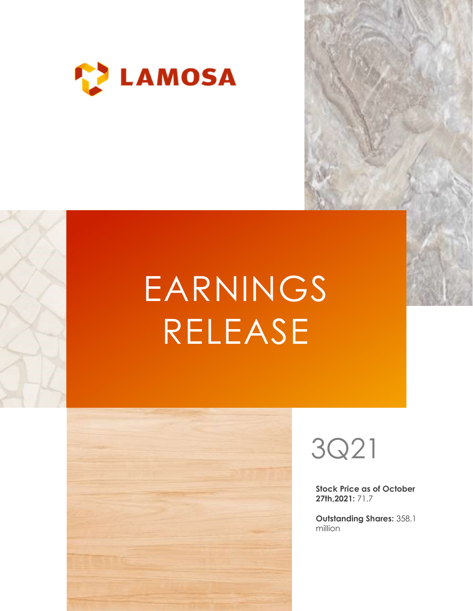

# EARNINGS RELEASE





Stock Price as of October 27th,2021: 71.7

Outstanding Shares: 358.1 million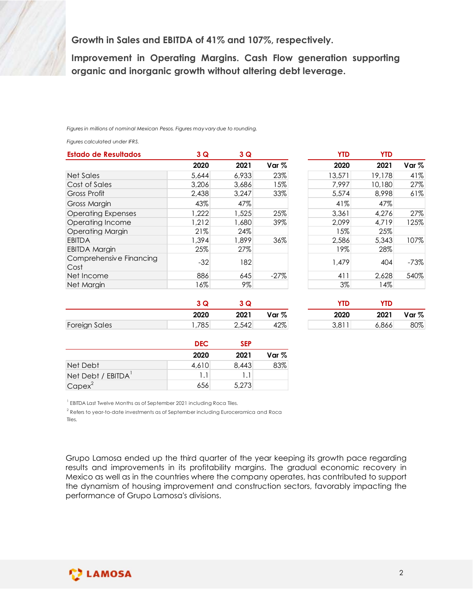| Growth in Sales and EBITDA of 41% and 107%, respectively.<br>Improvement in Operating Margins. Cash Flow generation supporting<br>organic and inorganic growth without altering debt leverage. |       |              |        |            |            |        |
|------------------------------------------------------------------------------------------------------------------------------------------------------------------------------------------------|-------|--------------|--------|------------|------------|--------|
|                                                                                                                                                                                                |       |              |        |            |            |        |
|                                                                                                                                                                                                |       |              |        |            |            |        |
| Figures in millions of nominal Mexican Pesos. Figures may vary due to rounding.<br>Figures calculated under IFRS.                                                                              |       |              |        |            |            |        |
| <b>Estado de Resultados</b>                                                                                                                                                                    | 3 Q   | 3 Q          |        | <b>YTD</b> | <b>YTD</b> |        |
|                                                                                                                                                                                                | 2020  | 2021         | Var %  | 2020       | 2021       | Var %  |
| <b>Net Sales</b>                                                                                                                                                                               | 5,644 | 6,933        | 23%    | 13,571     | 19,178     | 41%    |
| Cost of Sales                                                                                                                                                                                  | 3,206 | 3,686        | 15%    | 7,997      | 10,180     | 27%    |
| <b>Gross Profit</b>                                                                                                                                                                            | 2,438 | 3,247        | 33%    | 5,574      | 8,998      | 61%    |
| <b>Gross Margin</b>                                                                                                                                                                            | 43%   | 47%          |        | 41%        | 47%        |        |
| <b>Operating Expenses</b>                                                                                                                                                                      | 1,222 | 1,525        | 25%    | 3,361      | 4,276      | 27%    |
| Operating Income                                                                                                                                                                               | 1,212 | 1,680        | 39%    | 2,099      | 4,719      | 125%   |
| <b>Operating Margin</b>                                                                                                                                                                        | 21%   | 24%          |        | 15%        | 25%        |        |
|                                                                                                                                                                                                | 1,394 | 1,899        | 36%    | 2,586      | 5,343      | 107%   |
|                                                                                                                                                                                                | 25%   | 27%          |        | 19%        | 28%        |        |
| <b>EBITDA</b>                                                                                                                                                                                  |       | 182          |        | 1,479      | 404        | $-73%$ |
| <b>EBITDA Margin</b><br>Comprehensive Financing                                                                                                                                                | $-32$ |              | $-27%$ | 411        | 2,628      | 540%   |
| Cost<br>Net Income                                                                                                                                                                             | 886   |              |        |            |            |        |
| Net Margin                                                                                                                                                                                     | 16%   | 645<br>$9\%$ |        | 3%         | 14%        |        |

|            |                           | of 41% and 107%, respectively.      |                                                 |            |        |
|------------|---------------------------|-------------------------------------|-------------------------------------------------|------------|--------|
|            |                           |                                     | <b>Margins. Cash Flow generation supporting</b> |            |        |
|            |                           |                                     |                                                 |            |        |
|            |                           | vth without altering debt leverage. |                                                 |            |        |
|            |                           |                                     |                                                 |            |        |
|            |                           |                                     |                                                 |            |        |
|            |                           |                                     |                                                 |            |        |
|            |                           |                                     |                                                 |            |        |
|            |                           |                                     |                                                 |            |        |
|            | may vary due to rounding. |                                     |                                                 |            |        |
|            |                           |                                     |                                                 |            |        |
|            |                           |                                     |                                                 |            |        |
| 3Q         | 3Q                        |                                     | <b>YTD</b>                                      | <b>YTD</b> |        |
| 2020       | 2021                      | Var %                               | 2020                                            | 2021       | Var %  |
| 5,644      | 6,933                     | 23%                                 | 13,571                                          | 19,178     | 41%    |
| 3,206      | 3,686                     | 15%                                 | 7,997                                           | 10,180     | 27%    |
| 2,438      | 3,247                     | 33%                                 | 5,574                                           | 8,998      | 61%    |
| 43%        | 47%                       |                                     | 41%                                             | 47%        |        |
| ,222       | 1,525                     | 25%                                 | 3,361                                           | 4,276      | 27%    |
| ,212       | 1,680                     | 39%                                 | 2,099                                           | 4,719      | 125%   |
| 21%        |                           |                                     | 15%                                             | 25%        |        |
|            | 24%                       |                                     |                                                 |            |        |
| ,394       | 1,899                     | 36%                                 | 2,586                                           | 5,343      | 107%   |
| 25%        | 27%                       |                                     | 19%                                             | 28%        |        |
| $-32$      | 182                       |                                     | 1,479                                           | 404        | $-73%$ |
|            |                           |                                     |                                                 |            |        |
| 886        | 645                       | $-27%$                              | 411                                             | 2,628      | 540%   |
| 16%        | $9\%$                     |                                     | 3%                                              | 14%        |        |
|            |                           |                                     |                                                 |            |        |
| 3Q         | 3Q                        |                                     | <b>YTD</b>                                      | <b>YTD</b> |        |
| 2020       | 2021                      | Var %                               | 2020                                            | 2021       | Var %  |
| .785       | 2,542                     | 42%                                 | 3,811                                           | 6,866      | 80%    |
|            |                           |                                     |                                                 |            |        |
| <b>DEC</b> | <b>SEP</b>                |                                     |                                                 |            |        |
|            |                           |                                     |                                                 |            |        |
| 2020       | 2021                      | Var %                               |                                                 |            |        |
| 4,610      | 8,443                     | 83%                                 |                                                 |            |        |
|            | 1.1                       |                                     |                                                 |            |        |
| 1.1        |                           |                                     |                                                 |            |        |
| 656        | 5,273                     |                                     |                                                 |            |        |

|                      | w    |       |                  | <b>YTD</b>        | <b>YTD</b> |       |
|----------------------|------|-------|------------------|-------------------|------------|-------|
|                      | 2020 | 2021  | Var <sub>%</sub> | 2020              | 2021       | Var % |
| <b>Foreign Sales</b> | ,785 | 2,542 | 42%              | 3 8 1 1<br>ווט, ט | 6,866      | 80%   |

| YTD   | <b>YTD</b> |       |
|-------|------------|-------|
| 2020  | 2021       | Var % |
| 3,811 | 6.866      | 80%   |

|                    | <b>DEC</b> | <b>SEP</b> |       |
|--------------------|------------|------------|-------|
|                    | 2020       | 2021       | Var % |
| Net Debt           | 4,610      | 8,443      | 83%   |
| Net Debt / EBITDA' |            | ۱.۱        |       |
| $Capex^2$          | 656        | 5,273      |       |

| EBITDA Last Twelve Months as of September 2021 including Roca Tiles. |  |
|----------------------------------------------------------------------|--|
|                                                                      |  |

<sup>2</sup> Refers to year-to-date investments as of September including Euroceramica and Roca Tiles.

Grupo Lamosa ended up the third quarter of the year keeping its growth pace regarding results and improvements in its profitability margins. The gradual economic recovery in Mexico as well as in the countries where the company operates, has contributed to support the dynamism of housing improvement and construction sectors, favorably impacting the performance of Grupo Lamosa's divisions.

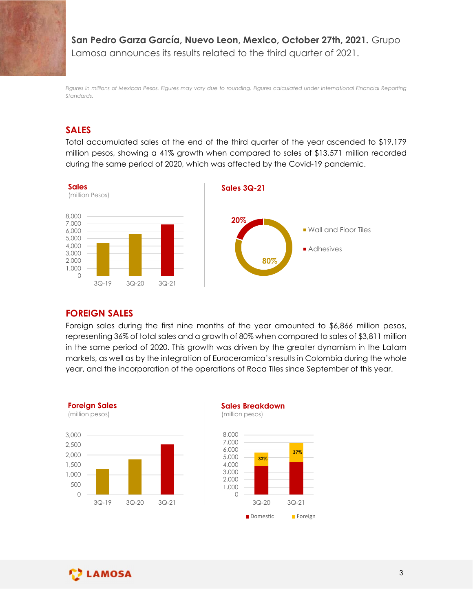San Pedro Garza García, Nuevo Leon, Mexico, October 27th, 2021. Grupo Lamosa announces its results related to the third quarter of 2021.

Figures in millions of Mexican Pesos. Figures may vary due to rounding. Figures calculated under International Financial Reporting Standards.

# SALES

Total accumulated sales at the end of the third quarter of the year ascended to \$19,179 million pesos, showing a 41% growth when compared to sales of \$13,571 million recorded during the same period of 2020, which was affected by the Covid-19 pandemic.



#### FOREIGN SALES

Foreign sales during the first nine months of the year amounted to \$6,866 million pesos, representing 36% of total sales and a growth of 80% when compared to sales of \$3,811 million in the same period of 2020. This growth was driven by the greater dynamism in the Latam markets, as well as by the integration of Euroceramica's results in Colombia during the whole year, and the incorporation of the operations of Roca Tiles since September of this year. **SN SALES**<br>
sales during the first nine months of the year amounted to \$6.866 million pesos,<br>
nting 36% of total sales and a growth of 80% when compared to sales of \$3.811 million<br>
ame period of 2020. This growth was driv





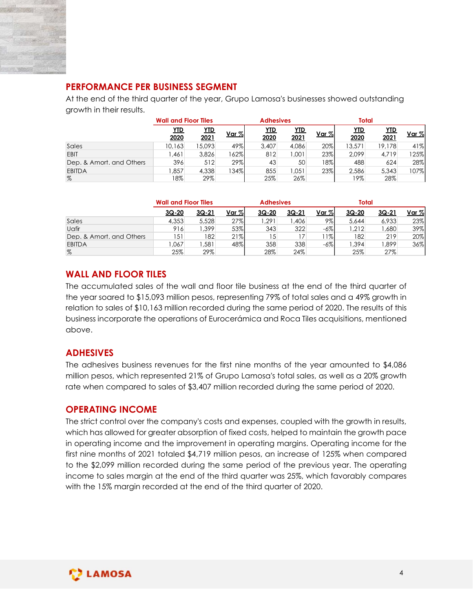

# PERFORMANCE PER BUSINESS SEGMENT

| <b>PERFORMANCE PER BUSINESS SEGMENT</b>                                                   |                                           |                 |              |                  |                |              |                 |              |             |
|-------------------------------------------------------------------------------------------|-------------------------------------------|-----------------|--------------|------------------|----------------|--------------|-----------------|--------------|-------------|
| At the end of the third quarter of the year, Grupo Lamosa's businesses showed outstanding |                                           |                 |              |                  |                |              |                 |              |             |
| growth in their results.                                                                  |                                           |                 |              |                  |                |              |                 |              |             |
|                                                                                           |                                           |                 |              |                  |                |              |                 |              |             |
|                                                                                           |                                           |                 |              | <b>Adhesives</b> |                |              | <b>Total</b>    |              |             |
|                                                                                           | <b>Wall and Floor Tiles</b><br><b>YTD</b> | <b>YTD</b>      |              | <b>YTD</b>       | <b>YTD</b>     |              | YID             | <b>YTD</b>   |             |
|                                                                                           | 2020                                      | 2021            | <u>Var %</u> | 2020             | 2021           | Var %        | 2020            | 2021         | Var %       |
| Sales<br>EBIT                                                                             | 10,163<br>1,461                           | 15,093<br>3,826 | 49%<br>162%  | 3,407<br>812     | 4,086<br>1,001 | 20%<br>23%   | 13,571<br>2,099 | 19,178       | 41%         |
| Dep. & Amort. and Others                                                                  | 396                                       | 512             | 29%          | 43               | 50             | 18%          | 488             | 4,719<br>624 | 125%<br>28% |
| <b>EBITDA</b>                                                                             | 1,857                                     | 4,338           | 134%         | 855              | 1,051          | 23%          | 2,586           | 5,343        | 107%        |
| $\%$                                                                                      | 18%                                       | 29%             |              | 25%              | 26%            |              | 19%             | 28%          |             |
|                                                                                           |                                           |                 |              |                  |                |              |                 |              |             |
|                                                                                           | <b>Wall and Floor Tiles</b>               |                 |              | <b>Adhesives</b> |                |              | <b>Total</b>    |              |             |
|                                                                                           | 3Q-20                                     | $3Q-21$         | Var %        | $3Q-20$          | $3Q-21$        | Var %        | $3Q-20$         | $3Q-21$      | Var %       |
| Sales                                                                                     | 4,353                                     | 5,528           | 27%          | 1,291            | 1,406          | 9%           | 5,644           | 6,933        | 23%         |
|                                                                                           | 916                                       | 1,399           | 53%          | 343              | 322            | $-6%$        | 1,212           | 1,680        | 39%         |
| Uafir<br>Dep. & Amort. and Others<br><b>EBITDA</b>                                        | 151<br>1,067                              | 182<br>1,581    | 21%<br>48%   | 15<br>358        | 17<br>338      | 11%<br>$-6%$ | 182<br>1,394    | 219<br>1,899 | 20%<br>36%  |

|                          | <b>Wall and Floor Tiles</b> |       |         | <b>Adhesives</b> |         |        | Total |         |         |
|--------------------------|-----------------------------|-------|---------|------------------|---------|--------|-------|---------|---------|
|                          | 3Q-20                       | 3Q-21 | Var $%$ | 3Q-20            | $3Q-21$ | Var %  | 3Q-20 | $3Q-21$ | Var $%$ |
| Sales                    | 4,353                       | 5,528 | 27%     | ,291             | ,406    | 9%     | 5,644 | 6,933   | 23%     |
| Uafir                    | 916                         | ,399  | 53%     | 343              | 322     | $-6\%$ | ,212  | ,680    | 39%     |
| Dep. & Amort, and Others | 151                         | 182   | 21%     | ں ا              |         | $1\%$  | 182   | 219     | 20%     |
| <b>EBITDA</b>            | ,067                        | ,581  | 48%     | 358              | 338     | -6%    | ,394  | ∣899,،  | 36%     |
| %                        | 25%                         | 29%   |         | 28%              | 24%     |        | 25%   | 27%     |         |

# WALL AND FLOOR TILES

The accumulated sales of the wall and floor tile business at the end of the third quarter of the year soared to \$15,093 million pesos, representing 79% of total sales and a 49% growth in relation to sales of \$10,163 million recorded during the same period of 2020. The results of this business incorporate the operations of Eurocerámica and Roca Tiles acquisitions, mentioned above.

# ADHESIVES

The adhesives business revenues for the first nine months of the year amounted to \$4,086 million pesos, which represented 21% of Grupo Lamosa's total sales, as well as a 20% growth rate when compared to sales of \$3,407 million recorded during the same period of 2020.

# OPERATING INCOME

The strict control over the company's costs and expenses, coupled with the growth in results, which has allowed for greater absorption of fixed costs, helped to maintain the growth pace in operating income and the improvement in operating margins. Operating income for the first nine months of 2021 totaled \$4,719 million pesos, an increase of 125% when compared to the \$2,099 million recorded during the same period of the previous year. The operating income to sales margin at the end of the third quarter was 25%, which favorably compares with the 15% margin recorded at the end of the third quarter of 2020.

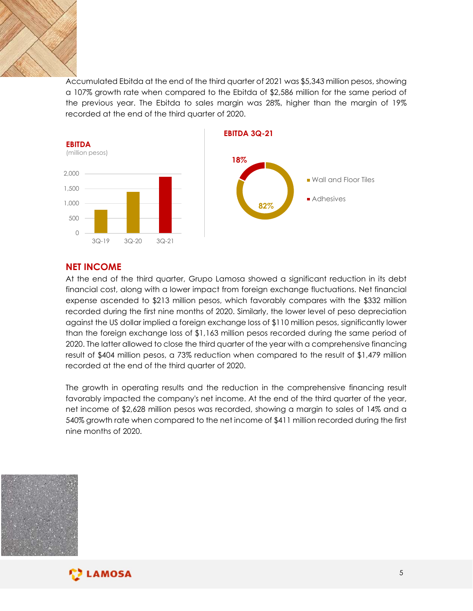

Accumulated Ebitda at the end of the third quarter of 2021 was \$5,343 million pesos, showing a 107% growth rate when compared to the Ebitda of \$2,586 million for the same period of the previous year. The Ebitda to sales margin was 28%, higher than the margin of 19% recorded at the end of the third quarter of 2020.



## NET INCOME

At the end of the third quarter, Grupo Lamosa showed a significant reduction in its debt financial cost, along with a lower impact from foreign exchange fluctuations. Net financial expense ascended to \$213 million pesos, which favorably compares with the \$332 million recorded during the first nine months of 2020. Similarly, the lower level of peso depreciation against the US dollar implied a foreign exchange loss of \$110 million pesos, significantly lower than the foreign exchange loss of \$1,163 million pesos recorded during the same period of 2020. The latter allowed to close the third quarter of the year with a comprehensive financing result of \$404 million pesos, a 73% reduction when compared to the result of \$1,479 million recorded at the end of the third quarter of 2020.

The growth in operating results and the reduction in the comprehensive financing result favorably impacted the company's net income. At the end of the third quarter of the year, net income of \$2,628 million pesos was recorded, showing a margin to sales of 14% and a 540% growth rate when compared to the net income of \$411 million recorded during the first nine months of 2020.



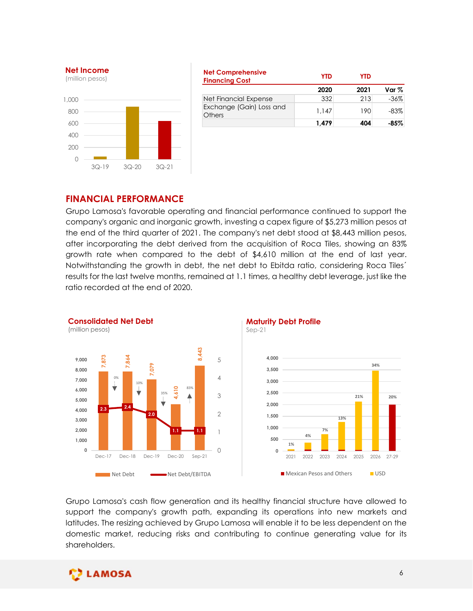

| <b>Net Comprehensive</b><br><b>Financing Cost</b> | <b>YTD</b>     | <b>YTD</b> |                  |
|---------------------------------------------------|----------------|------------|------------------|
|                                                   | 2020           | 2021       | Var $\%$         |
| Net Financial Expense                             | 332            | 213        | $-36%$           |
| Exchange (Gain) Loss and<br>Others                | 1,147<br>1,479 | 190<br>404 | $-83%$<br>$-85%$ |

#### FINANCIAL PERFORMANCE

Grupo Lamosa's favorable operating and financial performance continued to support the company's organic and inorganic growth, investing a capex figure of \$5,273 million pesos at the end of the third quarter of 2021. The company's net debt stood at \$8,443 million pesos, after incorporating the debt derived from the acquisition of Roca Tiles, showing an 83% growth rate when compared to the debt of \$4,610 million at the end of last year. Notwithstanding the growth in debt, the net debt to Ebitda ratio, considering Roca Tiles´ results for the last twelve months, remained at 1.1 times, a healthy debt leverage, just like the ratio recorded at the end of 2020. Consolidated Net Debt FINANCIAL PERFORMANCE<br>
(0)  $\frac{1}{30-19}$   $\frac{30-20}{30-20}$   $\frac{30-21}{30-20}$ <br>  $\frac{1}{30-20}$   $\frac{1}{30-20}$   $\frac{30-21}{30-20}$ <br>  $\frac{1}{30-19}$ <br>  $\frac{1}{30-19}$   $\frac{1}{30-19}$   $\frac{1}{30-19}$ <br>  $\frac{1}{30-19}$   $\frac{1}{30-19}$   $\frac{1}{30-1$ 1,479 404 - 85%<br>
Cicil performance continued to support the<br>
ing a capex figure of \$5,273 million pesos at<br>
my's net debt stood at \$8,443 million pesos,<br>
acquisition of Roca Tiles, showing an 83%<br>
f \$4,610 million at the



Sep-21



Grupo Lamosa's cash flow generation and its healthy financial structure have allowed to support the company's growth path, expanding its operations into new markets and latitudes. The resizing achieved by Grupo Lamosa will enable it to be less dependent on the domestic market, reducing risks and contributing to continue generating value for its shareholders.